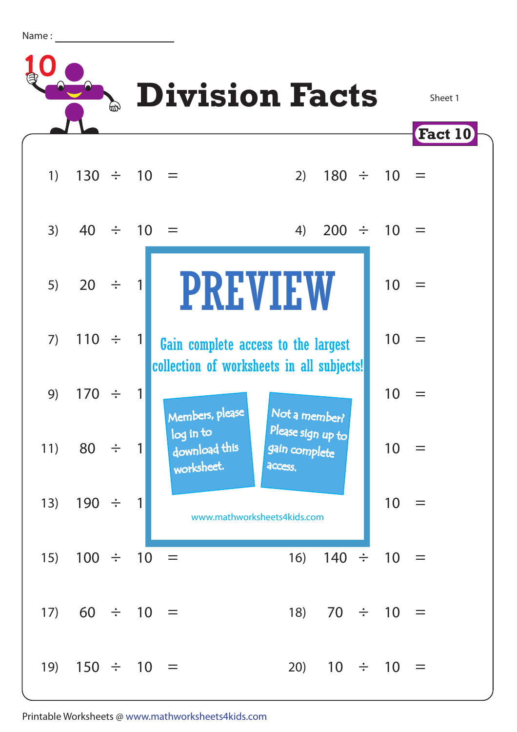Name :